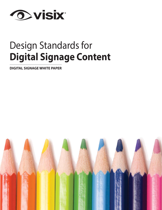

# Design Standards for **Digital Signage Content**

**DIGITAL SIGNAGE WHITE PAPER**

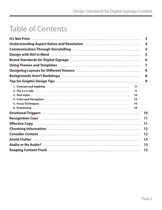# **Table of Contents**

|                                                                                                                 | $\mathbf{3}$            |
|-----------------------------------------------------------------------------------------------------------------|-------------------------|
|                                                                                                                 | 4                       |
|                                                                                                                 | $\overline{\mathbf{A}}$ |
|                                                                                                                 | 5                       |
|                                                                                                                 | 6                       |
|                                                                                                                 | 7                       |
|                                                                                                                 | 8                       |
|                                                                                                                 | 8                       |
|                                                                                                                 | 9                       |
| 9                                                                                                               |                         |
| 9                                                                                                               |                         |
| 10                                                                                                              |                         |
| 10                                                                                                              |                         |
| 10                                                                                                              |                         |
| 10                                                                                                              |                         |
| Emotional Triggers (and all contains and all contains and all contains and all contains a set of the set of the | 10                      |
|                                                                                                                 | 11                      |
|                                                                                                                 | 11                      |
|                                                                                                                 | 12                      |
|                                                                                                                 | 12                      |
|                                                                                                                 | 13                      |
|                                                                                                                 | 13                      |
|                                                                                                                 | 15                      |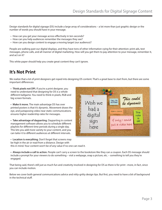Design standards for digital signage (DS) include a large array of considerations – a lot more than just graphic design or the number of words you should have in your message.

- How can you get your message across effectively in ten-seconds?
- How can you help audiences remember the messages they see?
- How can you design content to engage a moving target (our audience)?

People are walking past our digital displays, and they have tons of other information vying for their attention: print ads, text messages, phone calls, and all manner of digital marketing. How will you get them to pay attention to your message, remember it, and act on it?

This white paper should help you create great content they can't ignore.

### **It's Not Print**

We realize that a lot of print designers get roped into designing DS content. That's a great base to start from, but there are some important differences:

**• Think pixels not DPI.** If you're a print designer, you need to understand that designing for DS is a whole different ballgame. You need to think in pixels, RGB and big screen formats.

**• Make it move.** The main advantage DS has over printed posters is that it's dynamic. Movement draws the eye, and juxtaposing video near static communications ensures higher readership rates for messages.

**• Take advantage of dayparting.** Dayparting in content management software allows you to schedule different playlists for different time periods during a single day. This lets you add more variety to your content, and you can tailor it to different audiences at different intervals.



**• Location is everything.** Don't forget that screens may be high in the air or read from a distance. Design with this in mind. Your content won't be of any value if no one can read it.

**• Always include a call to action.** People can't carry a screen to the bookstore like they can a coupon. Each DS message should include a prompt for your viewers to do something – visit a webpage, snap a picture, etc. – something to tell you they're engaged.

That being said, there's still just as much fun and creativity involved in designing for DS as there is for print –more, in fact, since you can include motion.

Below we cover both general communications advice and nitty-gritty design tips. But first, you need to have a bit of background in the technical stuff.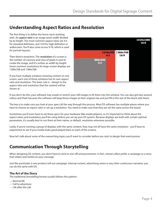### **Understanding Aspect Ratios and Resolution**

The first thing is to define the terms we're working with. An **aspect ratio** is an image area's width divided by its height. The most common aspect ratios are 4:3 for standard definition, and 16:9 for high definition or widescreen. You'll also come across 9:16, which is used for portrait layouts.

Then there's resolution. The **resolution** of a screen is the number of columns and rows of pixels it uses to create the image, and it's written as width by height. Some common resolutions for large-screen displays are 1280x768 and 1366x768.

If you have multiple windows showing content on one screen, each one of those windows has its own aspect ratio and resolution. The basic rule is – design to the aspect ratio and resolution that the content will be shown at.



If you don't do this, your software may smash or stretch your still images to fit them into the window. You can also get bars around videos and Flash because the software will keep those images at their original size and just fill in the rest of the block with black.

The key is to make sure you look at your specs all the way through the process. Most DS software has multiple places where you have to choose an aspect ratio or set up a resolution. You need to make sure that they are set the same across the board.

Sometimes you'll even have to set these specs for your hardware (like media players), so it's important to think about the aspect ratios and resolutions you'll be using before you set up your DS system. Because displays are built with certain optimal parameters, it's usually best to run them at their native, or default, resolution whenever possible.

Lastly, if you're running a group of displays with the same content, they may not all have the same resolution - you'll have to experiment to see if your media looks good played back on each of the screens.

Now let's talk about some of the overarching topics you'll want to consider before you start to design that event promo.

### **Communication Through Storytelling**

When designing DS content, you don't have to stick to one-off announcements. In fact, viewers often prefer a campaign or a story that relates and reinforces your message.

Just like you'd plan a new product roll-out campaign, internal contest, advertising series or any other continuous narrative, you can do the same with DS.

### **The Art of the Story**

The traditional storytelling format usually follows this pattern:

- Normal life
- Call to adventure
- Life after the call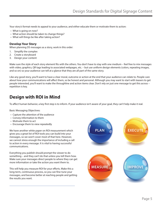Your story's format needs to appeal to your audience, and either educate them or motivate them to action:

- What is going on now?
- What action should be taken to change things?
- What will things be like after taking action?

#### **Develop Your Story**

When planning DS messages as a story, work in this order:

- 1. Simplify the complex
- 2. Create a storyboard
- 3. Design your content

Make sure the style of each story element fits with the others. You don't have to stay with one medium – feel free to mix messages with video, graphics, QR tags leading to associated webpages, etc. – but use uniform design elements (colors, repeating images, and so on) so your audience can tell at a glance that they are all part of the same story.

Like any good story, you'll want to have a clear moral, outcome or action at the end that your audience can relate to. People care about how your communications will affect them, so be honest and personal. Although you may want to start with teasers to get people interested, you'll want to make the throughline and action items clear. Don't rely on just one message to get this across – repetition is key.

### **Design with ROI in Mind**

To affect human behavior, a key first step is to inform. If your audience isn't aware of your goal, they can't help make it real.

Basic Messaging Objectives:

- Capture the attention of the audience
- Convey information to them
- Motivate them to act
- Encourage them to view repeatedly

We have another white paper on ROI measurement which gives you a great list of ROI tools you can build into your messages, so we won't cover most of that here. However, we cannot stress enough the importance of including a call to action in every message. It is vital to having successful communications.

Everything you publish should prompt the viewer to do something – and they can't do that unless you tell them how. Make sure your messages direct people to where they can get more information or take the action you want them to.

This will help you measure ROI for your efforts. Make this a long-term, continuous process, so you can fine-tune your messages, and become better at reaching people and getting the results you want.

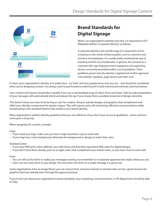

### **Brand Standards for Digital Signage**

What is an organization's identity and why is it important to DS? Wikipedia defines "Corporate Identity" as follows:

*A corporate identity is the overall image of a corporation or firm or business in the minds of diverse publics, such as customers and investors and employees. It is usually visibly manifested by way of branding and the use of trademarks. In general, this amounts to a corporate title, logo (logotype and/or logogram) and supporting devices commonly assembled within a set of guidelines. These guidelines govern how the identity is applied and confirm approved color palettes, typefaces, page layouts and other such.*

In short, your organization's identity is its public face – its "look" and how people know who you are – and should be considered when you're designing content. You always want to put forward a united brand in both internal and external communications.

Your content will improve drastically in quality if you use a standardized array of colors, fonts and styles. Side-by-side presentation of your messages will automatically blend and please the eye if you choose from a predetermined set of design elements.

This doesn't mean you have to be boring or can't be creative. Bring in outside designs and graphics that complement and offset your identity components for greater impact. Play with layouts and craft interesting, effective communications while incorporating a few standard themes that reinforce your brand identity.

Many organizations publish identity guidelines that you can reference. If you don't have access to guidelines - some common sense goes a long way.

When designing DS content, consider:

Logo:

- If you need your logo, make sure you have a high-resolution copy to work with.
- If your logo has a color background, eliminate the background or design to match that color.

#### Standard Colors

- If you have PMS print colors defined, start with those and find their equivalent RGB colors for digital designs.
- If you don't have them already, pick six to eight colors that complement your brand colors, so you have more to work with.

#### Fonts

- You can still use fun fonts to make your messages exciting, but remember to incorporate approved text styles where you can.
- Don't use too many fonts in your design. No more than two fonts on a single message is a good rule.

Some organizations have an image library you can choose from, and your internet or intranet sites can be a good resource for graphics that have already been through the approval process.

If you're not sure about your organization's brand standards, your marketing, communications, or PR department should be able to help.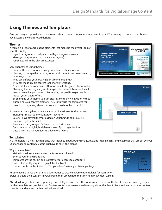### **Using Themes and Templates**

One great way to uphold your brand standards is to set up themes and templates in your DS software, so content contributors have access only to approved designs.

#### **Themes**

A theme is a set of coordinating elements that make up the overall look of your DS display:

- Layout backgrounds (wallpapers) with your logo and colors
- Message backgrounds that match your layout(s)
- Templates (fill-in the blank messages)

#### Some benefits to using themes:

- Because the elements are visually coordinated, themes are more pleasing to the eye than a background and content that doesn't match, or worse, clashes.
- They can enforce your organization's brand or identity.
- They can make simple content look more interesting.
- A beautiful screen commands attention for a faster grasp of information.
- Changing themes regularly captures people's interest, because they'll want to see what you do next. Remember, the goal is to get people to look at your screens often.
- By changing your theme, you can create a completely new look without burdening your content creators. They simply use the templates you provide as they always have, but your screens have had a facelift.

A theme can be anything you want it to be. Some ideas for themes are:

- Branding match your organization's identity
- Colors have several themes based on your brand's color palette
- Holidays get in the spirit
- Seasonal that gives you (at least) four looks in a year
- Departmental highlight different areas of your organization
- Decorative match your facility's décor or artwork

#### **Templates**

A DS template is a message template that includes a background image, text and image blocks, and text styles that are set by your DS manager, so content creators just have to fill-in-the-blanks.

Why use templates?

- Maintain the look you want no tacky content allowed!
- Enforce your brand standards
- Templates are the easiest and fastest way for people to contribute
- No creative ability required….just fill in the blanks
- User accounts can be limited to "Template User" in many software packages

Another idea is to use these same backgrounds to create PowerPoint templates for users who prefer to create their content in PowerPoint, then upload it to the content management system.







| <b>WELCOME</b> |             |
|----------------|-------------|
| <b>Name</b>    | Insert      |
| Title          | Photo       |
| Office         | <b>Here</b> |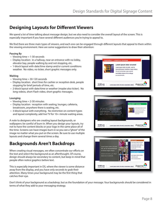### **Designing Layouts for Different Viewers**

We spend a lot of time talking about message design, but we also need to consider the overall layout of the screen. This is especially important if you have several different audiences you're trying to appeal to.

We find there are three main types of viewers, and each one can be engaged through different layouts that appeal to them within the viewing environment. Here are some suggestions to draw their attention:

#### **Passing By**

- Viewing time = 1-30 seconds
- Display location: in a hallway, near an entrance with no lobby, elevator bay, people walking by and not stopping, etc.
- 1-block layout with date/time stamp and/or current conditions weather. No video, no ticker, short graphic messages only.

#### **Waiting**

- Viewing time = 30-120 seconds
- Display location: short lines for cashier or reception desk, people stopping for brief periods of time, etc.
- 2-block layout with date/time or weather (maybe also ticker). No long videos, short Flash video, short graphic messages.

#### **Lounging**

- Viewing time  $= 2-30$  minutes
- Display location: reception with seating, lounges, cafeteria, breakroom, anywhere there is seating, etc.
- 3-block layout with everything. No restriction on content types and layout complexity, add live TV for 10+ minute waiting areas.

A note to designers who are creating layout backgrounds, or wallpapers: be careful of burn-in. When you design your layouts, try not to have the content blocks or your logo in the same place all of the time. Screens can have images burn in so you see a "ghost" of the image no matter what you put on the screen. Be sure to use multiple layouts and change them several times a day.

### **Backgrounds Aren't Backdrops**

When creating visual messages, we often concentrate our efforts on the text and select the background as an afterthought. Of course, design should always be secondary to content, but keep in mind that people often notice graphics before text.

This is especially important in DS, where the viewer is some distance away from the display, and you have only seconds to grab their attention. Many times your background may be the first thing that catches their eye.

**IEXT: Competitive Advantage** Lorem ipsum dolor sit amet! Lorem ipsum dolor sit amet, sed do eiusmod tempor incidolore magna aliqua Ut enim ad veniam, quis nostrud exercitation laboris nisi ut aliquip ex ea commodo. or sit amet, consectetur adipis | Argonne 12:00 am





Don't think of your background as a backdrop, but as the foundation of your message. Your backgrounds should be considered in terms of what they add to your messaging strategy.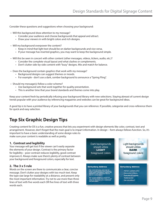Consider these questions and suggestions when choosing your background:

- Will this background draw attention to my message?
	- Consider your audience and choose backgrounds that appeal and attract.
	- Draw your viewers in with bright colors and rich designs.
- Will my background overpower the content?
	- Keep in mind that light text should be on darker backgrounds and vice versa.
	- If your message has inserted graphics, you may want to keep the background simple.
- Will this be seen in concert with other content (other messages, videos, tickers, audio, etc.)?
	- Consider the complete visual layout and what clashes or complements.
	- Don't clutter side-by-side content with "busy" designs. Mix and match for balance.
- Does the background contain graphics that work with my message?
	- Background designs can suggest themes or moods.
	- For example don't use a dark, somber background to announce a "Spring Fling".
- Should my message(s) follow a color scheme?
	- Use background sets that work together for quality presentation.
	- This is another time that your brand standards and themes come into play.

Keep your content fresh by periodically infusing your background library with new selections. Staying abreast of current design trends popular with your audience by referencing magazines and websites can be great for background ideas.

A good tip is to have a printed library of your backgrounds that you can reference. If possible, categorize and cross-reference them for quick and easy selection.

### **Top Six Graphic Design Tips**

Creating content for DS is a fun, creative process that lets you experiment with design elements like color, contrast, text and arrangement. However, don't forget that the main goal is to impart information. In design – form always follows function. So, it's important to have a basic understanding of some design rules to make sure your content is readable as well as pretty.

#### **1. Contrast and legibility**

Your message will get lost if the viewer can't easily separate the elements of your design. Contrast is the primary factor for legibility – poor contrast reduces legibility, good contrast improves it. Always make sure there's plenty of contrast between your background and foreground colors, especially for text.

#### **2. The 3 x 5 rule**

Words on the screen are there to communicate a clear, concise message. Don't clutter your designs with too much text. Keep the type size large for readability at a distance, and present only the most important information. Try not to use more than three lines of text with five words each OR five lines of text with three words each.

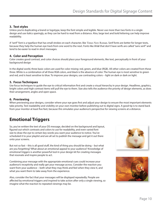### **3. Text styles**

Unless you're duplicating a brand or logotype, keep the font simple and legible. Never use more than two fonts in a single design and use italics sparingly, as they can be hard to read from a distance. Also, large text and bold lettering can help improve readability.

A "serif" font is a typeface that has small strokes on each character, like Times New Roman. Serif fonts are better for longer texts, because they help the human eye track from one word to the next. Fonts like Arial that don't have serifs are called "sans serif" and tend to be easier to read in short messages.

#### **4. Color and Perception**

Color creates good contrast, and color choices should place your foreground elements, like text, perceptually in front of your background design

In the digital world, three basic colors are used for color mixing: red, green, and blue (RGB). All other colors are created from these three. White is a combination of all three RGB colors, and black is the absence of color. The human eye is most sensitive to green and red, and is least sensitive to blue. To improve your designs, use contrasting colors – light on dark or dark on light.

### **5. Focus Techniques**

Use focus techniques to guide the eye to critical information first and create a visual hierarchy in your design. Headlines, graphics, bright colors and high contrast items will pull the eye to them. Size also tells the audience the priority of design elements, as does their arrangement, angles and open space.

### **6. Previewing**

When previewing your designs, consider where your eye goes first and adjust your design to ensure the most important elements take priority. Test readability and visibility on your own monitor before publishing out to digital signs. A good tip is to stand back from your monitor at least five feet, because this simulates your audience's perspective for viewing screens at a distance.

### **Emotional Triggers**

So, you've written the text of your DS message, decided on the background and layout, figured out which contrasts and colors to use for readability, and even varied font size to draw the eye to certain key words you want your audience to notice. You've scheduled it to your playlist and are all set to publish the message and get it out there onto your screens.

But not so fast – this is all good stuff, the kind of thing you should be doing – but what are you forgetting? What about an emotional appeal to your audience? Knowledge of emotional triggers is another powerful tool in your design kit for creating messages that resonate and inspire people to act.

Combining your message with the appropriate emotional cues could increase your audience's receptivity and really get your message across. Consider the reaction you want from your audience – both what they may think and feel when they view it, and what you want them to take away from the experience.

Also, consider the fact that your messages will be displayed repeatedly. People are affected by emotional triggers and inspired to take action after only a single viewing, so imagine what the reaction to repeated viewings may be.



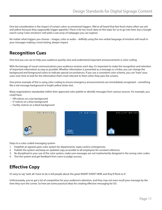One last consideration is the impact of certain colors as emotional triggers. (We've all heard that fast-food chains often use red and yellow because they supposedly trigger appetite.) There is far too much data on this topic for us to go into here, but a Google search using "color emotions" will yield a vast array of webpages you can explore.

No matter what triggers you choose – images, color or audio – skillfully using the non-verbal language of emotion will result in your messages making a more lasting, deeper impact.

### **Recognition Cues**

One tool you can use to help your audience quickly view and understand important announcements is color-coding.

With the barrage of visual communications your audience receives each day, it's important to make the recognition and retention of important information as easy as possible. Whether information is presented as a message or a ticker, you can change the background and foreground colors to indicate special circumstances. If you use a consistent color scheme, you can "train" your users over time to look for the information that's most relevant to them when they pass the screens.

One prime example of this is using color-coding to ensure emergency announcements are immediately recognized – something like a red message background or bright yellow ticker text.

Many organizations standardize within their approved color palette to identify messages from various sources. For example, you could have:

- HR notices on a tan background
- IT notices on a blue background
- Facility notices on a black background



Steps to a color-coded messaging system:

- 1. Establish an agreed upon color system for departments, topics and/or emergencies.
- 2. Publish the system and keep an updated copy accessible to all employees for constant reference.
- 3. Be disciplined in your use of the color system, make sure messages are not inadvertently designed in the wrong color codes.
- 4. Test the system and get feedback from users to judge success.

### **Effective Copy**

It's easy to say "well, all I have to do is tell people about the great INSERT EVENT HERE and they'll flock to it."

Unfortunately, you've got a lot of competition for your audience's attention, and they may not even recall your message by the time they turn the corner. So here are some practical ideas for creating effective messaging for DS: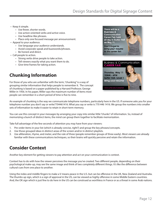- Keep it simple.
	- Use fewer, shorter words.
	- Use action-oriented verbs and active voice.
	- Use headline-like phrases.
	- Place only one focused message per announcement.
- Appeal to your audience.
	- Use language your audience understands.
	- Avoid corporate-speak and buzzwords/phrases.
	- Be honest and direct.
- Call people to action.
	- Strong verbs drive people to take action.
	- Tell viewers exactly what you want them to do.
	- Give time frames for taking action.

### **Chunking Information**

For those of you who are unfamiliar with the term, "chunking" is a way of grouping similar information that helps people to remember it. The concept of chunking is based on a paper published by a Harvard Professor, George Miller in 1956. In his paper, Miller says the maximum number of items most people can remember in a short period of time is five to nine.



An example of chunking is the way we communicate telephone numbers, particularly here in the US. If someone asks you for your telephone number you don't say or write7704461416. What you say or write is 770 446 1416. We group the numbers into smaller sets of information to make it easier to retain in short-term memory.

You can use this concept in your messages by arranging your copy into similar little "chunks" of information. So, instead of memorizing a bunch of distinct items, the mind can group them together to facilitate memorization.

Take full advantage of the few seconds of attention you may have from your viewers:

- 1. Pre-order items in your list (which is already concise, right?) and group the key phrases/concepts.
- 2. Use those grouped ideas in distinct areas of the screen and/or in distinct playlists.
- 3. Use alliteration, rhyme, and meter, and the rule of three (people remember groups of three easily). Most viewers are already familiar with these communications techniques, so their brains will quickly perceive and retain the information.

### **Consider Context**

Another key element for getting viewers to pay attention and act on your communication is context.

Context has to do with how the viewer perceives the message you've created. Two different people, depending on their psychological make-up, may see the same image and think of two completely different things. It's like the difference between cultural cues from one place to another.

Using the index and middle fingers to make a V means peace in the U.S. but can be offensive in the UK, New Zealand and Australia. The thumbs up sign, which is a sign of approval in the US, can be viewed as highly offensive in some Middle Eastern countries. And, the OK sign which is just fine to do here in the US can be construed as worthless in France or as a threat in some Arab nations.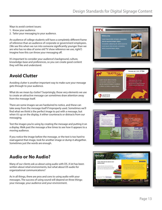Ways to avoid context issues:

- 1. Know your audience.
- 2. Tailor your messaging to your audience.

An audience of college students will have a completely different frame of reference than an audience of corporate or government employees. (We see this when we run into someone significantly younger than we are who has no idea of some old TV show reference we use, right?) Imagine how this can throw your messaging off.

It's important to consider your audience's background, culture, knowledge-base and preferences, so you can create good content they will like and understand.

### **Avoid Clutter**

Avoiding clutter is another important way to make sure your message gets through to your audience.

What do we mean by clutter? Surprisingly, those very elements we use to create an attractive message can sometimes draw attention away from the message itself.

There are some images we are hardwired to notice, and these can take away from the message itself if improperly used. Sometimes we'll find what we think is the perfect image to put with a message, but when it's up on the display, it either counteracts or distracts from our messaging.

Test the images you're using by creating the message and putting it on a display. Walk past the message a few times to see how it appears to a moving audience.

If you notice the image before the message, or the text is too hard to read against that image, look for another image or dump it altogether. Sometimes just the words are enough.

## **TTX** Welcome Lorem ipsum dolor sit amet, consectetu<br>sed do eiusmod tempor aliqua. Consectetur adipisicing elit, sed do eiusmod.<br>Lorem ipsum dolor sit amet, consectetur, Lorem ipsum dolor sit amet, co<br>sed do eiusmod tempor aliqua.







Many of our clients ask us about using audio with DS. A lot has been written about retail environments, but what about DS audio for organizational communications?

As in all things, there are pros and cons to using audio with your messages. The success of using sound will depend on three things: your message, your audience and your environment.

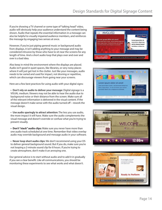If you're showing a TV channel or some type of "talking head" video, audio will obviously help your audience understand the content being shown. Audio that repeats the essential information in a message can also be helpful to visually impaired audience members, and reinforces the message by engaging two senses at once.

However, if you're just piping general music or background audio from displays, it isn't adding anything to your message and may be considered intrusive by those who have to sit near the screens for any length of time. And a short audio loop that plays over and over and over is a bad idea.

Also keep in mind the environment where the displays are placed. Audio isn't good in quiet spaces, like libraries, or very noisy places where it will just get lost in the clutter. Just like your messages, audio needs to be varied and used for impact, not droning or repetitive, which can discourage viewers from going near your screens.

Here are a few best practices for using audio with your digital signs:

**• Don't rely on audio to deliver your message:** Digital signage is a VISUAL medium. Viewers may not be able to hear the audio due to background noise or their distance from the screen. Make sure all of the relevant information is delivered in the visual content. If the message doesn't make sense with the audio turned off – rework the visual design.

**• Use audio sparingly to attract attention:** The less you use audio, the more impact it will have. Make sure the audio complements the visual message and doesn't override or confuse what you're trying to present visually.

**• Don't "stack" audio clips:** Make sure you never have more than one audio track scheduled at one time. Remember that video overlay audio may override background and message audio in your software.

**• Never loop short audio clips:** We don't recommend using your DS to deliver general background sound. But if you do, make sure you're not looping a 2-minute sound clip for 8 hours. If you're trying to create atmosphere, don't make it an annoying one.

Our general advice is to start without audio and to add it in gradually if you see a clear benefit. Like all communications, you should be monitoring these experiments to see what works and what doesn't.